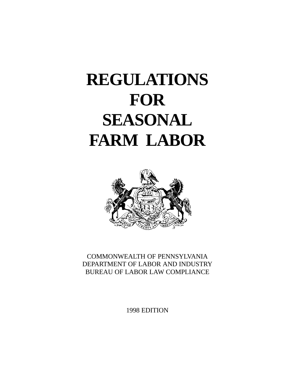# **REGULATIONS FOR SEASONAL FARM LABOR**



COMMONWEALTH OF PENNSYLVANIA DEPARTMENT OF LABOR AND INDUSTRY BUREAU OF LABOR LAW COMPLIANCE

1998 EDITION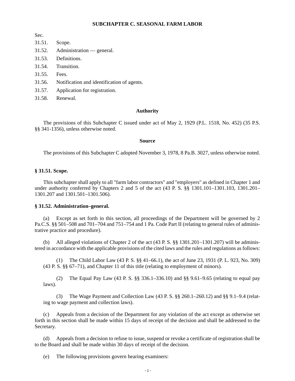## **SUBCHAPTER C. SEASONAL FARM LABOR**

Sec.

- 31.51. Scope.
- 31.52. Administration general.
- 31.53. Definitions.
- 31.54. Transition.
- 31.55. Fees.
- 31.56. Notification and identification of agents.
- 31.57. Application for registration.
- 31.58. Renewal.

#### **Authority**

The provisions of this Subchapter C issued under act of May 2, 1929 (P.L. 1518, No. 452) (35 P.S. §§ 341-1356), unless otherwise noted.

#### **Source**

The provisions of this Subchapter C adopted November 3, 1978, 8 Pa.B. 3027, unless otherwise noted.

### **§ 31.51. Scope.**

This subchapter shall apply to all "farm labor contractors" and "employers" as defined in Chapter 1 and under authority conferred by Chapters 2 and 5 of the act (43 P. S. §§ 1301.101–1301.103, 1301.201– 1301.207 and 1301.501–1301.506).

# **§ 31.52. Administration–general.**

(a) Except as set forth in this section, all proceedings of the Department will be governed by 2 Pa.C.S. §§ 501–508 and 701–704 and 751–754 and 1 Pa. Code Part II (relating to general rules of administrative practice and procedure).

All alleged violations of Chapter 2 of the act  $(43$  P. S.  $\S$ § 1301.201–1301.207) will be administered in accordance with the applicable provisions of the cited laws and the rules and regulations as follows:

(1) The Child Labor Law (43 P. S. §§ 41–66.1), the act of June 23, 1931 (P. L. 923, No. 309) (43 P. S. §§ 67–71), and Chapter 11 of this title (relating to employment of minors).

(2) The Equal Pay Law (43 P. S. §§ 336.1–336.10) and §§ 9.61–9.65 (relating to equal pay laws).

(3) The Wage Payment and Collection Law (43 P. S. §§ 260.1–260.12) and §§ 9.1–9.4 (relating to wage payment and collection laws).

(c) Appeals from a decision of the Department for any violation of the act except as otherwise set forth in this section shall be made within 15 days of receipt of the decision and shall be addressed to the Secretary.

(d) Appeals from a decision to refuse to issue, suspend or revoke a certificate of registration shall be to the Board and shall be made within 30 days of receipt of the decision.

(e) The following provisions govern hearing examiners: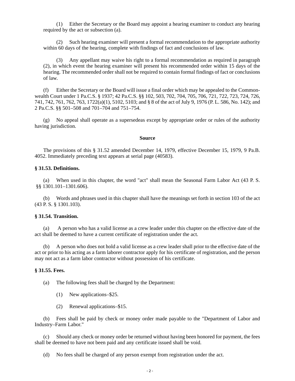(1) Either the Secretary or the Board may appoint a hearing examiner to conduct any hearing required by the act or subsection (a).

(2) Such hearing examiner will present a formal recommendation to the appropriate authority within 60 days of the hearing, complete with findings of fact and conclusions of law.

(3) Any appellant may waive his right to a formal recommendation as required in paragraph (2), in which event the hearing examiner will present his recommended order within 15 days of the hearing. The recommended order shall not be required to contain formal findings of fact or conclusions of law.

(f) Either the Secretary or the Board will issue a final order which may be appealed to the Commonwealth Court under 1 Pa.C.S. § 1937; 42 Pa.C.S. §§ 102, 503, 702, 704, 705, 706, 721, 722, 723, 724, 726, 741, 742, 761, 762, 763, 1722(a)(1), 5102, 5103; and § 8 of the act of July 9, 1976 (P. L. 586, No. 142); and 2 Pa.C.S. §§ 501–508 and 701–704 and 751–754.

No appeal shall operate as a supersedeas except by appropriate order or rules of the authority having jurisdiction.

#### **Source**

The provisions of this § 31.52 amended December 14, 1979, effective December 15, 1979, 9 Pa.B. 4052. Immediately preceding text appears at serial page (40583).

# **§ 31.53. Definitions.**

(a) When used in this chapter, the word "act" shall mean the Seasonal Farm Labor Act (43 P. S. §§ 1301.101–1301.606).

(b) Words and phrases used in this chapter shall have the meanings set forth in section 103 of the act (43 P. S. § 1301.103).

#### **§ 31.54. Transition.**

(a) A person who has a valid license as a crew leader under this chapter on the effective date of the act shall be deemed to have a current certificate of registration under the act.

(b) A person who does not hold a valid license as a crew leader shall prior to the effective date of the act or prior to his acting as a farm laborer contractor apply for his certificate of registration, and the person may not act as a farm labor contractor without possession of his certificate.

# **§ 31.55. Fees.**

(a) The following fees shall be charged by the Department:

- (1) New applications–\$25.
- (2) Renewal applications–\$15.

(b) Fees shall be paid by check or money order made payable to the "Department of Labor and Industry–Farm Labor."

(c) Should any check or money order be returned without having been honored for payment, the fees shall be deemed to have not been paid and any certificate issued shall be void.

(d) No fees shall be charged of any person exempt from registration under the act.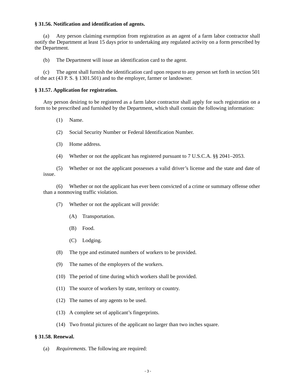# **§ 31.56. Notification and identification of agents.**

(a) Any person claiming exemption from registration as an agent of a farm labor contractor shall notify the Department at least 15 days prior to undertaking any regulated activity on a form prescribed by the Department.

(b) The Department will issue an identification card to the agent.

(c) The agent shall furnish the identification card upon request to any person set forth in section 501 of the act (43 P. S. § 1301.501) and to the employer, farmer or landowner.

# **§ 31.57. Application for registration.**

Any person desiring to be registered as a farm labor contractor shall apply for such registration on a form to be prescribed and furnished by the Department, which shall contain the following information:

- (1) Name.
- (2) Social Security Number or Federal Identification Number.
- (3) Home address.
- (4) Whether or not the applicant has registered pursuant to 7 U.S.C.A. §§ 2041–2053.

(5) Whether or not the applicant possesses a valid driver's license and the state and date of issue.

(6) Whether or not the applicant has ever been convicted of a crime or summary offense other than a nonmoving traffic violation.

- (7) Whether or not the applicant will provide:
	- (A) Transportation.
	- (B) Food.
	- (C) Lodging.
- (8) The type and estimated numbers of workers to be provided.
- (9) The names of the employers of the workers.
- (10) The period of time during which workers shall be provided.
- (11) The source of workers by state, territory or country.
- (12) The names of any agents to be used.
- (13) A complete set of applicant's fingerprints.
- (14) Two frontal pictures of the applicant no larger than two inches square.

# **§ 31.58. Renewal.**

(a) *Requirements.* The following are required: